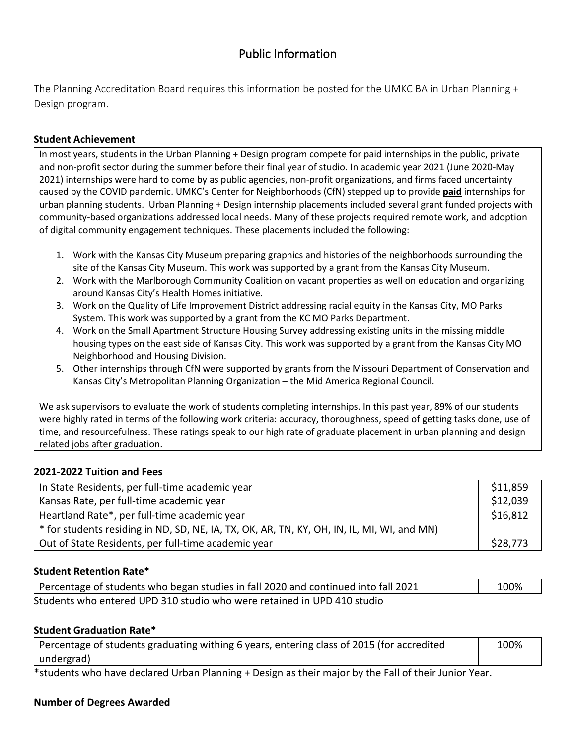# Public Information

The Planning Accreditation Board requires this information be posted for the UMKC BA in Urban Planning + Design program.

### **Student Achievement**

In most years, students in the Urban Planning + Design program compete for paid internships in the public, private and non-profit sector during the summer before their final year of studio. In academic year 2021 (June 2020-May 2021) internships were hard to come by as public agencies, non-profit organizations, and firms faced uncertainty caused by the COVID pandemic. UMKC's Center for Neighborhoods (CfN) stepped up to provide **paid** internships for urban planning students. Urban Planning + Design internship placements included several grant funded projects with community-based organizations addressed local needs. Many of these projects required remote work, and adoption of digital community engagement techniques. These placements included the following:

- 1. Work with the Kansas City Museum preparing graphics and histories of the neighborhoods surrounding the site of the Kansas City Museum. This work was supported by a grant from the Kansas City Museum.
- 2. Work with the Marlborough Community Coalition on vacant properties as well on education and organizing around Kansas City's Health Homes initiative.
- 3. Work on the Quality of Life Improvement District addressing racial equity in the Kansas City, MO Parks System. This work was supported by a grant from the KC MO Parks Department.
- 4. Work on the Small Apartment Structure Housing Survey addressing existing units in the missing middle housing types on the east side of Kansas City. This work was supported by a grant from the Kansas City MO Neighborhood and Housing Division.
- 5. Other internships through CfN were supported by grants from the Missouri Department of Conservation and Kansas City's Metropolitan Planning Organization – the Mid America Regional Council.

We ask supervisors to evaluate the work of students completing internships. In this past year, 89% of our students were highly rated in terms of the following work criteria: accuracy, thoroughness, speed of getting tasks done, use of time, and resourcefulness. These ratings speak to our high rate of graduate placement in urban planning and design related jobs after graduation.

#### **2021-2022 Tuition and Fees**

| In State Residents, per full-time academic year                                            | \$11,859 |
|--------------------------------------------------------------------------------------------|----------|
| Kansas Rate, per full-time academic year                                                   | \$12,039 |
| Heartland Rate*, per full-time academic year                                               | \$16,812 |
| * for students residing in ND, SD, NE, IA, TX, OK, AR, TN, KY, OH, IN, IL, MI, WI, and MN) |          |
| Out of State Residents, per full-time academic year                                        | \$28,773 |

#### **Student Retention Rate\***

| Percentage of students who began studies in fall 2020 and continued into fall 2021 | 100% |
|------------------------------------------------------------------------------------|------|
| Students who entered UPD 310 studio who were retained in UPD 410 studio            |      |

#### **Student Graduation Rate\***

| Percentage of students graduating withing 6 years, entering class of 2015 (for accredited | 100% |
|-------------------------------------------------------------------------------------------|------|
| undergrad)                                                                                |      |
|                                                                                           |      |

\*students who have declared Urban Planning + Design as their major by the Fall of their Junior Year.

#### **Number of Degrees Awarded**